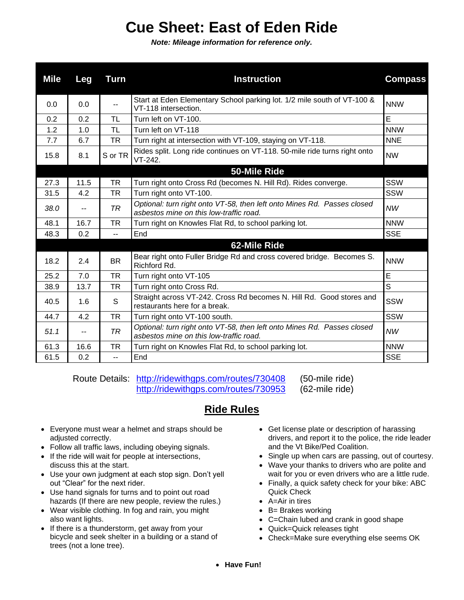## **Cue Sheet: East of Eden Ride**

*Note: Mileage information for reference only.*

| <b>Mile</b> | Leg  | Turn           | <b>Instruction</b>                                                                                                 | <b>Compass</b> |
|-------------|------|----------------|--------------------------------------------------------------------------------------------------------------------|----------------|
| 0.0         | 0.0  | ۰.             | Start at Eden Elementary School parking lot. 1/2 mile south of VT-100 &<br>VT-118 intersection.                    | <b>NNW</b>     |
| 0.2         | 0.2  | <b>TL</b>      | Turn left on VT-100.                                                                                               | E              |
| 1.2         | 1.0  | <b>TL</b>      | Turn left on VT-118                                                                                                | <b>NNW</b>     |
| 7.7         | 6.7  | <b>TR</b>      | Turn right at intersection with VT-109, staying on VT-118.                                                         | <b>NNE</b>     |
| 15.8        | 8.1  | S or TR        | Rides split. Long ride continues on VT-118. 50-mile ride turns right onto<br>$VT-242.$                             | <b>NW</b>      |
|             |      |                | 50-Mile Ride                                                                                                       |                |
| 27.3        | 11.5 | <b>TR</b>      | Turn right onto Cross Rd (becomes N. Hill Rd). Rides converge.                                                     | SSW            |
| 31.5        | 4.2  | <b>TR</b>      | Turn right onto VT-100.                                                                                            | SSW            |
| 38.0        | $-$  | <b>TR</b>      | Optional: turn right onto VT-58, then left onto Mines Rd. Passes closed<br>asbestos mine on this low-traffic road. | <b>NW</b>      |
| 48.1        | 16.7 | <b>TR</b>      | Turn right on Knowles Flat Rd, to school parking lot.                                                              | <b>NNW</b>     |
| 48.3        | 0.2  | $\overline{a}$ | End                                                                                                                | <b>SSE</b>     |
|             |      |                | 62-Mile Ride                                                                                                       |                |
| 18.2        | 2.4  | <b>BR</b>      | Bear right onto Fuller Bridge Rd and cross covered bridge. Becomes S.<br>Richford Rd.                              | <b>NNW</b>     |
| 25.2        | 7.0  | <b>TR</b>      | Turn right onto VT-105                                                                                             | E              |
| 38.9        | 13.7 | <b>TR</b>      | Turn right onto Cross Rd.                                                                                          | S              |
| 40.5        | 1.6  | S              | Straight across VT-242. Cross Rd becomes N. Hill Rd. Good stores and<br>restaurants here for a break.              | SSW            |
| 44.7        | 4.2  | TR             | Turn right onto VT-100 south.                                                                                      | SSW            |
| 51.1        | --   | <b>TR</b>      | Optional: turn right onto VT-58, then left onto Mines Rd. Passes closed<br>asbestos mine on this low-traffic road. | <b>NW</b>      |
| 61.3        | 16.6 | <b>TR</b>      | Turn right on Knowles Flat Rd, to school parking lot.                                                              | <b>NNW</b>     |
| 61.5        | 0.2  | $\overline{a}$ | End                                                                                                                | <b>SSE</b>     |

Route Details: <http://ridewithgps.com/routes/730408> (50-mile ride) <http://ridewithgps.com/routes/730953> (62-mile ride)

## **Ride Rules**

- Everyone must wear a helmet and straps should be adjusted correctly.
- Follow all traffic laws, including obeying signals.
- If the ride will wait for people at intersections, discuss this at the start.
- Use your own judgment at each stop sign. Don't yell out "Clear" for the next rider.
- Use hand signals for turns and to point out road hazards (If there are new people, review the rules.)
- Wear visible clothing. In fog and rain, you might also want lights.
- If there is a thunderstorm, get away from your bicycle and seek shelter in a building or a stand of trees (not a lone tree).
- Get license plate or description of harassing drivers, and report it to the police, the ride leader and the Vt Bike/Ped Coalition.
- Single up when cars are passing, out of courtesy.
- Wave your thanks to drivers who are polite and wait for you or even drivers who are a little rude.
- Finally, a quick safety check for your bike: ABC Quick Check
- A=Air in tires
- B= Brakes working
- C=Chain lubed and crank in good shape
- Quick=Quick releases tight
- Check=Make sure everything else seems OK